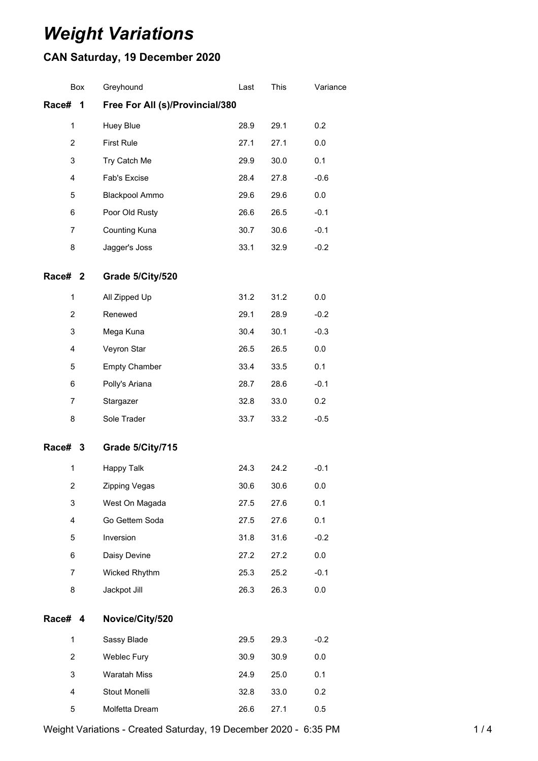# *Weight Variations*

## **CAN Saturday, 19 December 2020**

|                                               | Box | Greyhound            | Last | This | Variance |
|-----------------------------------------------|-----|----------------------|------|------|----------|
| Race#<br>Free For All (s)/Provincial/380<br>1 |     |                      |      |      |          |
| $\mathbf{1}$                                  |     | Huey Blue            | 28.9 | 29.1 | 0.2      |
| $\overline{2}$                                |     | <b>First Rule</b>    | 27.1 | 27.1 | 0.0      |
| 3                                             |     | Try Catch Me         | 29.9 | 30.0 | 0.1      |
| 4                                             |     | Fab's Excise         | 28.4 | 27.8 | $-0.6$   |
| 5                                             |     | Blackpool Ammo       | 29.6 | 29.6 | 0.0      |
| 6                                             |     | Poor Old Rusty       | 26.6 | 26.5 | $-0.1$   |
| 7                                             |     | Counting Kuna        | 30.7 | 30.6 | $-0.1$   |
| 8                                             |     | Jagger's Joss        | 33.1 | 32.9 | $-0.2$   |
| Race# 2                                       |     | Grade 5/City/520     |      |      |          |
| $\mathbf 1$                                   |     | All Zipped Up        | 31.2 | 31.2 | 0.0      |
| $\overline{c}$                                |     | Renewed              | 29.1 | 28.9 | $-0.2$   |
| 3                                             |     | Mega Kuna            | 30.4 | 30.1 | $-0.3$   |
| 4                                             |     | Veyron Star          | 26.5 | 26.5 | 0.0      |
| 5                                             |     | <b>Empty Chamber</b> | 33.4 | 33.5 | 0.1      |
| 6                                             |     | Polly's Ariana       | 28.7 | 28.6 | $-0.1$   |
| 7                                             |     | Stargazer            | 32.8 | 33.0 | 0.2      |
| 8                                             |     | Sole Trader          | 33.7 | 33.2 | $-0.5$   |
| Race# 3                                       |     | Grade 5/City/715     |      |      |          |
| $\mathbf{1}$                                  |     | Happy Talk           | 24.3 | 24.2 | $-0.1$   |
| $\overline{\mathbf{c}}$                       |     | Zipping Vegas        | 30.6 | 30.6 | 0.0      |
| 3                                             |     | West On Magada       | 27.5 | 27.6 | 0.1      |
| 4                                             |     | Go Gettem Soda       | 27.5 | 27.6 | 0.1      |
| 5                                             |     | Inversion            | 31.8 | 31.6 | $-0.2$   |
| 6                                             |     | Daisy Devine         | 27.2 | 27.2 | $0.0\,$  |
| 7                                             |     | Wicked Rhythm        | 25.3 | 25.2 | $-0.1$   |
| 8                                             |     | Jackpot Jill         | 26.3 | 26.3 | 0.0      |
| Race# 4                                       |     | Novice/City/520      |      |      |          |
| $\mathbf{1}$                                  |     | Sassy Blade          | 29.5 | 29.3 | $-0.2$   |
| $\overline{c}$                                |     | <b>Weblec Fury</b>   | 30.9 | 30.9 | 0.0      |
| 3                                             |     | <b>Waratah Miss</b>  | 24.9 | 25.0 | 0.1      |
| 4                                             |     | Stout Monelli        | 32.8 | 33.0 | 0.2      |
| 5                                             |     | Molfetta Dream       | 26.6 | 27.1 | 0.5      |

Weight Variations - Created Saturday, 19 December 2020 - 6:35 PM 1/4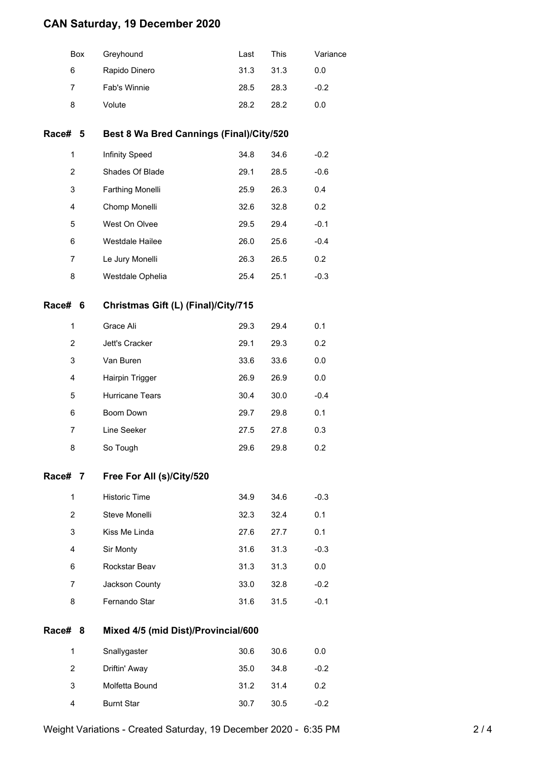### **CAN Saturday, 19 December 2020**

|         | Box                                            | Greyhound                                | Last | This | Variance |  |  |  |
|---------|------------------------------------------------|------------------------------------------|------|------|----------|--|--|--|
|         | 6                                              | Rapido Dinero                            | 31.3 | 31.3 | 0.0      |  |  |  |
|         | $\overline{7}$                                 | Fab's Winnie                             | 28.5 | 28.3 | $-0.2$   |  |  |  |
|         | 8                                              | Volute                                   | 28.2 | 28.2 | 0.0      |  |  |  |
| Race#   | 5                                              | Best 8 Wa Bred Cannings (Final)/City/520 |      |      |          |  |  |  |
|         | 1                                              | Infinity Speed                           | 34.8 | 34.6 | $-0.2$   |  |  |  |
|         | $\overline{2}$                                 | Shades Of Blade                          | 29.1 | 28.5 | $-0.6$   |  |  |  |
|         | 3                                              | Farthing Monelli                         | 25.9 | 26.3 | 0.4      |  |  |  |
|         | 4                                              | Chomp Monelli                            | 32.6 | 32.8 | 0.2      |  |  |  |
|         | 5                                              | West On Olvee                            | 29.5 | 29.4 | $-0.1$   |  |  |  |
|         | 6                                              | Westdale Hailee                          | 26.0 | 25.6 | $-0.4$   |  |  |  |
|         | $\overline{7}$                                 | Le Jury Monelli                          | 26.3 | 26.5 | 0.2      |  |  |  |
|         | 8                                              | Westdale Ophelia                         | 25.4 | 25.1 | $-0.3$   |  |  |  |
|         | Race# 6<br>Christmas Gift (L) (Final)/City/715 |                                          |      |      |          |  |  |  |
|         | 1                                              | Grace Ali                                | 29.3 | 29.4 | 0.1      |  |  |  |
|         | 2                                              | Jett's Cracker                           | 29.1 | 29.3 | 0.2      |  |  |  |
|         | 3                                              | Van Buren                                | 33.6 | 33.6 | 0.0      |  |  |  |
|         | 4                                              | Hairpin Trigger                          | 26.9 | 26.9 | 0.0      |  |  |  |
|         | 5                                              | Hurricane Tears                          | 30.4 | 30.0 | $-0.4$   |  |  |  |
|         | 6                                              | Boom Down                                | 29.7 | 29.8 | 0.1      |  |  |  |
|         | $\overline{7}$                                 | Line Seeker                              | 27.5 | 27.8 | 0.3      |  |  |  |
|         | 8                                              | So Tough                                 | 29.6 | 29.8 | 0.2      |  |  |  |
| Race# 7 |                                                | Free For All (s)/City/520                |      |      |          |  |  |  |
|         | $\mathbf{1}$                                   | <b>Historic Time</b>                     | 34.9 | 34.6 | $-0.3$   |  |  |  |
|         | $\overline{c}$                                 | Steve Monelli                            | 32.3 | 32.4 | 0.1      |  |  |  |
|         | 3                                              | Kiss Me Linda                            | 27.6 | 27.7 | 0.1      |  |  |  |
|         | 4                                              | Sir Monty                                | 31.6 | 31.3 | $-0.3$   |  |  |  |
|         | 6                                              | Rockstar Beav                            | 31.3 | 31.3 | 0.0      |  |  |  |
|         | 7                                              | Jackson County                           | 33.0 | 32.8 | $-0.2$   |  |  |  |
|         | 8                                              | Fernando Star                            | 31.6 | 31.5 | $-0.1$   |  |  |  |
| Race#   | Mixed 4/5 (mid Dist)/Provincial/600<br>8       |                                          |      |      |          |  |  |  |
|         | 1                                              | Snallygaster                             | 30.6 | 30.6 | 0.0      |  |  |  |
|         | 2                                              | Driftin' Away                            | 35.0 | 34.8 | $-0.2$   |  |  |  |
|         | 3                                              | Molfetta Bound                           | 31.2 | 31.4 | 0.2      |  |  |  |
|         | 4                                              | <b>Burnt Star</b>                        | 30.7 | 30.5 | $-0.2$   |  |  |  |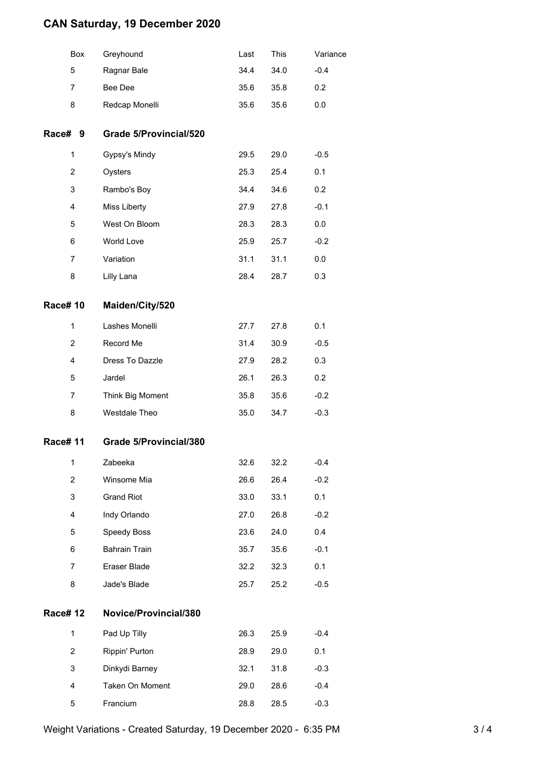#### **CAN Saturday, 19 December 2020**

|                | Box            | Greyhound                     | Last | This | Variance |
|----------------|----------------|-------------------------------|------|------|----------|
|                | 5              | Ragnar Bale                   | 34.4 | 34.0 | $-0.4$   |
|                | 7              | Bee Dee                       | 35.6 | 35.8 | 0.2      |
|                | 8              | Redcap Monelli                | 35.6 | 35.6 | 0.0      |
| Race# 9        |                | <b>Grade 5/Provincial/520</b> |      |      |          |
|                | 1              | Gypsy's Mindy                 | 29.5 | 29.0 | $-0.5$   |
|                | $\overline{2}$ | Oysters                       | 25.3 | 25.4 | 0.1      |
|                | 3              | Rambo's Boy                   | 34.4 | 34.6 | 0.2      |
|                | 4              | Miss Liberty                  | 27.9 | 27.8 | $-0.1$   |
|                | 5              | West On Bloom                 | 28.3 | 28.3 | 0.0      |
|                | 6              | World Love                    | 25.9 | 25.7 | $-0.2$   |
|                | 7              | Variation                     | 31.1 | 31.1 | 0.0      |
|                | 8              | Lilly Lana                    | 28.4 | 28.7 | 0.3      |
| <b>Race#10</b> |                | Maiden/City/520               |      |      |          |
|                | 1              | Lashes Monelli                | 27.7 | 27.8 | 0.1      |
|                | $\overline{2}$ | Record Me                     | 31.4 | 30.9 | $-0.5$   |
|                | 4              | Dress To Dazzle               | 27.9 | 28.2 | 0.3      |
|                | 5              | Jardel                        | 26.1 | 26.3 | 0.2      |
|                | 7              | Think Big Moment              | 35.8 | 35.6 | $-0.2$   |
|                | 8              | Westdale Theo                 | 35.0 | 34.7 | $-0.3$   |
| <b>Race#11</b> |                | Grade 5/Provincial/380        |      |      |          |
|                | 1              | Zabeeka                       | 32.6 | 32.2 | $-0.4$   |
|                | $\overline{2}$ | Winsome Mia                   | 26.6 | 26.4 | $-0.2$   |
|                | 3              | <b>Grand Riot</b>             | 33.0 | 33.1 | 0.1      |
|                | 4              | Indy Orlando                  | 27.0 | 26.8 | $-0.2$   |
|                | 5              | Speedy Boss                   | 23.6 | 24.0 | 0.4      |
|                | 6              | <b>Bahrain Train</b>          | 35.7 | 35.6 | $-0.1$   |
|                | 7              | Eraser Blade                  | 32.2 | 32.3 | 0.1      |
|                | 8              | Jade's Blade                  | 25.7 | 25.2 | $-0.5$   |
| <b>Race#12</b> |                | Novice/Provincial/380         |      |      |          |
|                | 1              | Pad Up Tilly                  | 26.3 | 25.9 | $-0.4$   |
|                | $\overline{2}$ | Rippin' Purton                | 28.9 | 29.0 | 0.1      |
|                | 3              | Dinkydi Barney                | 32.1 | 31.8 | $-0.3$   |
|                | 4              | Taken On Moment               | 29.0 | 28.6 | $-0.4$   |
|                | 5              | Francium                      | 28.8 | 28.5 | $-0.3$   |